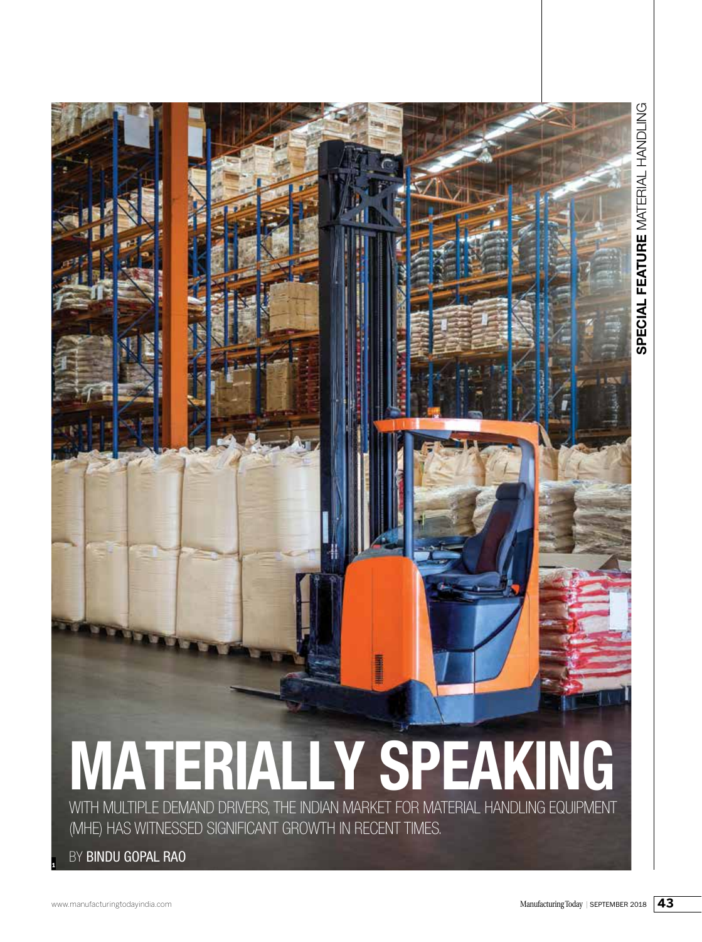# WW.Manufacturington<br>MATERIALLY SPEAKING **MATERIALLY SPEAKING**

WITH MULTIPLE DEMAND DRIVERS, THE INDIAN MARKET FOR MATERIAL HANDLING EQUIPMENT (MHE) HAS WITNESSED SIGNIFICANT GROWTH IN RECENT TIMES.

BY BINDU GOPAL RAO

**1**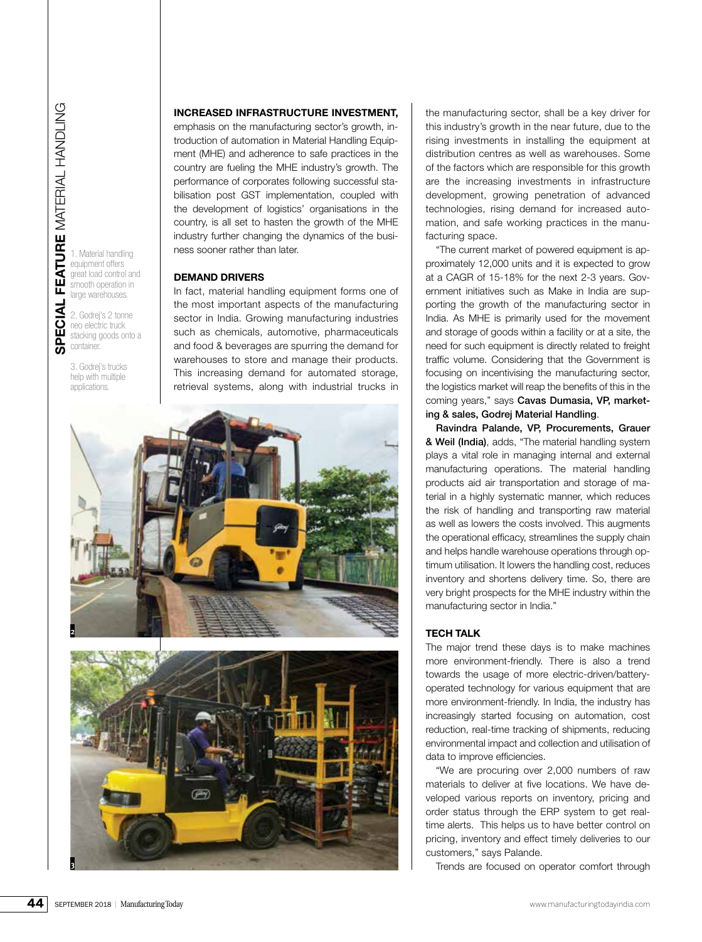1. Material handling equipment offers great load control and smooth operation in<br>large warehouses. large warehouses.

2. Godrej's 2 tonne neo electric truck stacking goods onto a container.

3. Godrej's trucks help with multiple applications.

### **INCREASED INFRASTRUCTURE INVESTMENT,**

emphasis on the manufacturing sector's growth, introduction of automation in Material Handling Equipment (MHE) and adherence to safe practices in the country are fueling the MHE industry's growth. The performance of corporates following successful stabilisation post GST implementation, coupled with the development of logistics' organisations in the country, is all set to hasten the growth of the MHE industry further changing the dynamics of the business sooner rather than later.

# **DEMAND DRIVERS**

In fact, material handling equipment forms one of the most important aspects of the manufacturing sector in India. Growing manufacturing industries such as chemicals, automotive, pharmaceuticals and food & beverages are spurring the demand for warehouses to store and manage their products. This increasing demand for automated storage, retrieval systems, along with industrial trucks in



the manufacturing sector, shall be a key driver for this industry's growth in the near future, due to the rising investments in installing the equipment at distribution centres as well as warehouses. Some of the factors which are responsible for this growth are the increasing investments in infrastructure development, growing penetration of advanced technologies, rising demand for increased automation, and safe working practices in the manufacturing space.

"The current market of powered equipment is approximately 12,000 units and it is expected to grow at a CAGR of 15-18% for the next 2-3 years. Government initiatives such as Make in India are supporting the growth of the manufacturing sector in India. As MHE is primarily used for the movement and storage of goods within a facility or at a site, the need for such equipment is directly related to freight traffic volume. Considering that the Government is focusing on incentivising the manufacturing sector, the logistics market will reap the benefits of this in the coming years," says Cavas Dumasia, VP, marketing & sales, Godrej Material Handling.

Ravindra Palande, VP, Procurements, Grauer & Weil (India), adds, "The material handling system plays a vital role in managing internal and external manufacturing operations. The material handling products aid air transportation and storage of material in a highly systematic manner, which reduces the risk of handling and transporting raw material as well as lowers the costs involved. This augments the operational efficacy, streamlines the supply chain and helps handle warehouse operations through optimum utilisation. It lowers the handling cost, reduces inventory and shortens delivery time. So, there are very bright prospects for the MHE industry within the manufacturing sector in India."

## **TECH TALK**

The major trend these days is to make machines more environment-friendly. There is also a trend towards the usage of more electric-driven/batteryoperated technology for various equipment that are more environment-friendly. In India, the industry has increasingly started focusing on automation, cost reduction, real-time tracking of shipments, reducing environmental impact and collection and utilisation of data to improve efficiencies.

"We are procuring over 2,000 numbers of raw materials to deliver at five locations. We have developed various reports on inventory, pricing and order status through the ERP system to get realtime alerts. This helps us to have better control on pricing, inventory and effect timely deliveries to our customers," says Palande.

Trends are focused on operator comfort through **3**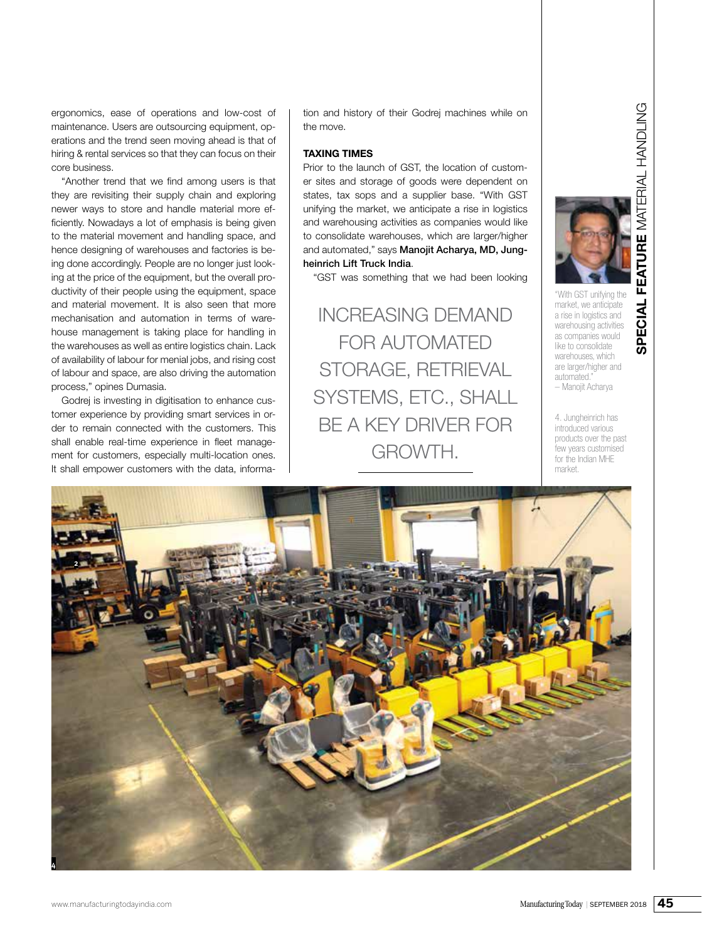ergonomics, ease of operations and low-cost of maintenance. Users are outsourcing equipment, operations and the trend seen moving ahead is that of hiring & rental services so that they can focus on their core business.

"Another trend that we find among users is that they are revisiting their supply chain and exploring newer ways to store and handle material more efficiently. Nowadays a lot of emphasis is being given to the material movement and handling space, and hence designing of warehouses and factories is being done accordingly. People are no longer just looking at the price of the equipment, but the overall productivity of their people using the equipment, space and material movement. It is also seen that more mechanisation and automation in terms of warehouse management is taking place for handling in the warehouses as well as entire logistics chain. Lack of availability of labour for menial jobs, and rising cost of labour and space, are also driving the automation process," opines Dumasia.

Godrej is investing in digitisation to enhance customer experience by providing smart services in order to remain connected with the customers. This shall enable real-time experience in fleet management for customers, especially multi-location ones. It shall empower customers with the data, information and history of their Godrej machines while on the move.

# **TAXING TIMES**

Prior to the launch of GST, the location of customer sites and storage of goods were dependent on states, tax sops and a supplier base. "With GST unifying the market, we anticipate a rise in logistics and warehousing activities as companies would like to consolidate warehouses, which are larger/higher and automated," says Manojit Acharya, MD, Jungheinrich Lift Truck India.

"GST was something that we had been looking

INCREASING DEMAND FOR AUTOMATED STORAGE, RETRIEVAL SYSTEMS, ETC., SHALL BE A KEY DRIVER FOR GROWTH.

"With GST unifying the market, we anticipate a rise in logistics and warehousing activities as companies would like to consolidate warehouses, which are larger/higher and automated." – Manojit Acharya

4. Jungheinrich has introduced various products over the past few years customised for the Indian MHE market.

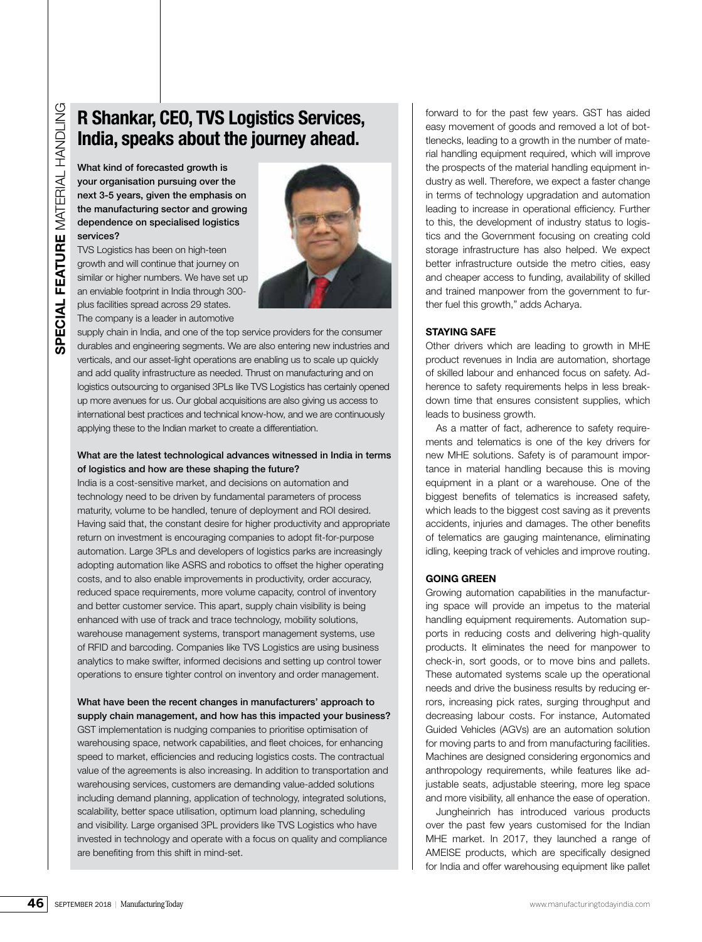# **R Shankar, CEO, TVS Logistics Services, India, speaks about the journey ahead.**

What kind of forecasted growth is your organisation pursuing over the next 3-5 years, given the emphasis on the manufacturing sector and growing dependence on specialised logistics services?

TVS Logistics has been on high-teen growth and will continue that journey on similar or higher numbers. We have set up an enviable footprint in India through 300 plus facilities spread across 29 states. The company is a leader in automotive



supply chain in India, and one of the top service providers for the consumer durables and engineering segments. We are also entering new industries and verticals, and our asset-light operations are enabling us to scale up quickly and add quality infrastructure as needed. Thrust on manufacturing and on logistics outsourcing to organised 3PLs like TVS Logistics has certainly opened up more avenues for us. Our global acquisitions are also giving us access to international best practices and technical know-how, and we are continuously applying these to the Indian market to create a differentiation.

# What are the latest technological advances witnessed in India in terms of logistics and how are these shaping the future?

**EXAMPLE ARE SEPTE AND SEPTE ARE SEPTE ARE SEPTE ARE AN ABSOLUTE ARE A SEPTE ARE A SEPTE ARE A SEPTE ARE A SEPTE ARE A SEPTE ARE A SEPTE ARE A SEPTE ARE A SEPTE ARE A SEPTE ARE A SEPTE ARE A SEPTE ARE A SEPTE ARE A SEPTE** India is a cost-sensitive market, and decisions on automation and technology need to be driven by fundamental parameters of process maturity, volume to be handled, tenure of deployment and ROI desired. Having said that, the constant desire for higher productivity and appropriate return on investment is encouraging companies to adopt fit-for-purpose automation. Large 3PLs and developers of logistics parks are increasingly adopting automation like ASRS and robotics to offset the higher operating costs, and to also enable improvements in productivity, order accuracy, reduced space requirements, more volume capacity, control of inventory and better customer service. This apart, supply chain visibility is being enhanced with use of track and trace technology, mobility solutions, warehouse management systems, transport management systems, use of RFID and barcoding. Companies like TVS Logistics are using business analytics to make swifter, informed decisions and setting up control tower operations to ensure tighter control on inventory and order management.

What have been the recent changes in manufacturers' approach to supply chain management, and how has this impacted your business? GST implementation is nudging companies to prioritise optimisation of warehousing space, network capabilities, and fleet choices, for enhancing speed to market, efficiencies and reducing logistics costs. The contractual value of the agreements is also increasing. In addition to transportation and warehousing services, customers are demanding value-added solutions including demand planning, application of technology, integrated solutions, scalability, better space utilisation, optimum load planning, scheduling and visibility. Large organised 3PL providers like TVS Logistics who have invested in technology and operate with a focus on quality and compliance are benefiting from this shift in mind-set.

forward to for the past few years. GST has aided easy movement of goods and removed a lot of bottlenecks, leading to a growth in the number of material handling equipment required, which will improve the prospects of the material handling equipment industry as well. Therefore, we expect a faster change in terms of technology upgradation and automation leading to increase in operational efficiency. Further to this, the development of industry status to logistics and the Government focusing on creating cold storage infrastructure has also helped. We expect better infrastructure outside the metro cities, easy and cheaper access to funding, availability of skilled and trained manpower from the government to further fuel this growth," adds Acharya.

# **STAYING SAFE**

Other drivers which are leading to growth in MHE product revenues in India are automation, shortage of skilled labour and enhanced focus on safety. Adherence to safety requirements helps in less breakdown time that ensures consistent supplies, which leads to business growth.

As a matter of fact, adherence to safety requirements and telematics is one of the key drivers for new MHE solutions. Safety is of paramount importance in material handling because this is moving equipment in a plant or a warehouse. One of the biggest benefits of telematics is increased safety, which leads to the biggest cost saving as it prevents accidents, injuries and damages. The other benefits of telematics are gauging maintenance, eliminating idling, keeping track of vehicles and improve routing.

# **GOING GREEN**

Growing automation capabilities in the manufacturing space will provide an impetus to the material handling equipment requirements. Automation supports in reducing costs and delivering high-quality products. It eliminates the need for manpower to check-in, sort goods, or to move bins and pallets. These automated systems scale up the operational needs and drive the business results by reducing errors, increasing pick rates, surging throughput and decreasing labour costs. For instance, Automated Guided Vehicles (AGVs) are an automation solution for moving parts to and from manufacturing facilities. Machines are designed considering ergonomics and anthropology requirements, while features like adjustable seats, adjustable steering, more leg space and more visibility, all enhance the ease of operation.

Jungheinrich has introduced various products over the past few years customised for the Indian MHE market. In 2017, they launched a range of AMEISE products, which are specifically designed for India and offer warehousing equipment like pallet